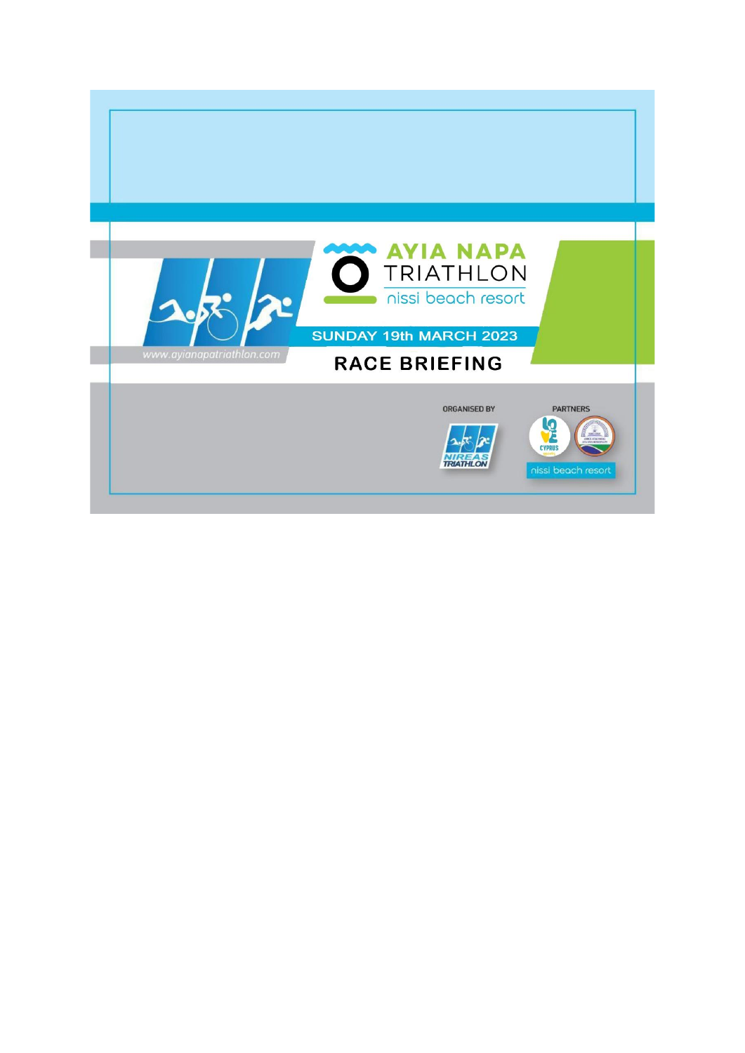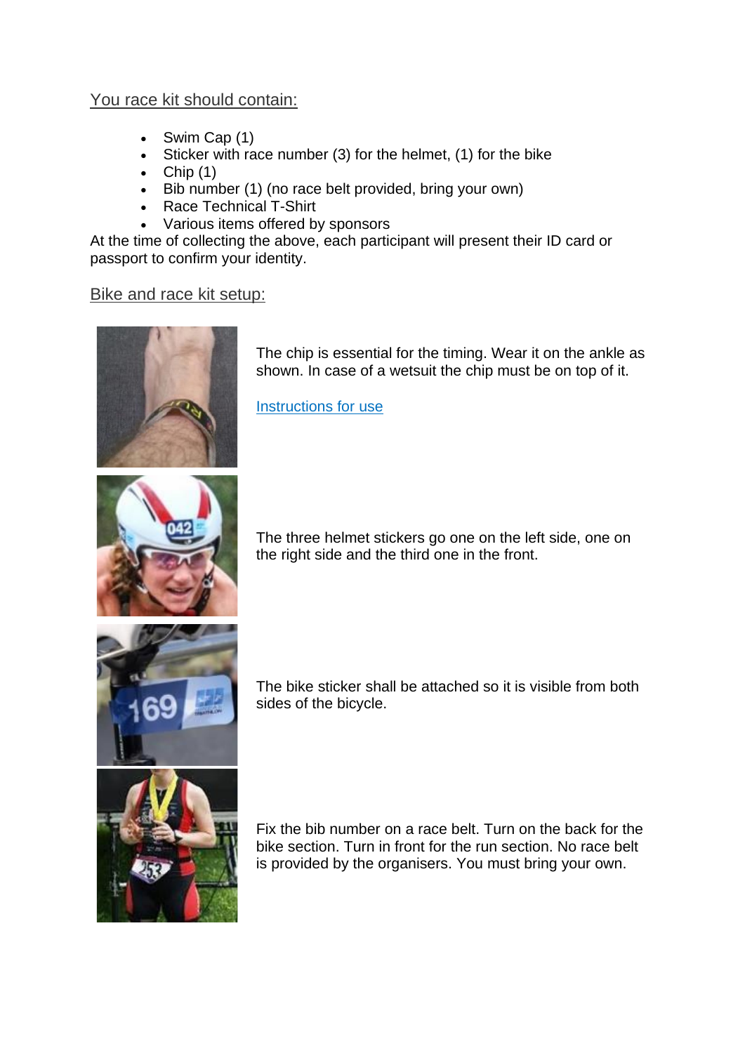## You race kit should contain:

- Swim Cap (1)
- Sticker with race number (3) for the helmet, (1) for the bike
- $\bullet$  Chip (1)
- Bib number (1) (no race belt provided, bring your own)
- Race Technical T-Shirt
- Various items offered by sponsors

At the time of collecting the above, each participant will present their ID card or passport to confirm your identity.

## Bike and race kit setup:



The chip is essential for the timing. Wear it on the ankle as shown. In case of a wetsuit the chip must be on top of it.

[Instructions](https://ayianapatriathlon.com/wp56/wp-content/uploads/2019/01/Instructions-of-Triathlon-Band-Placement_.jpg) for use



The three helmet stickers go one on the left side, one on the right side and the third one in the front.



The bike sticker shall be attached so it is visible from both sides of the bicycle.



Fix the bib number on a race belt. Turn on the back for the bike section. Turn in front for the run section. No race belt is provided by the organisers. You must bring your own.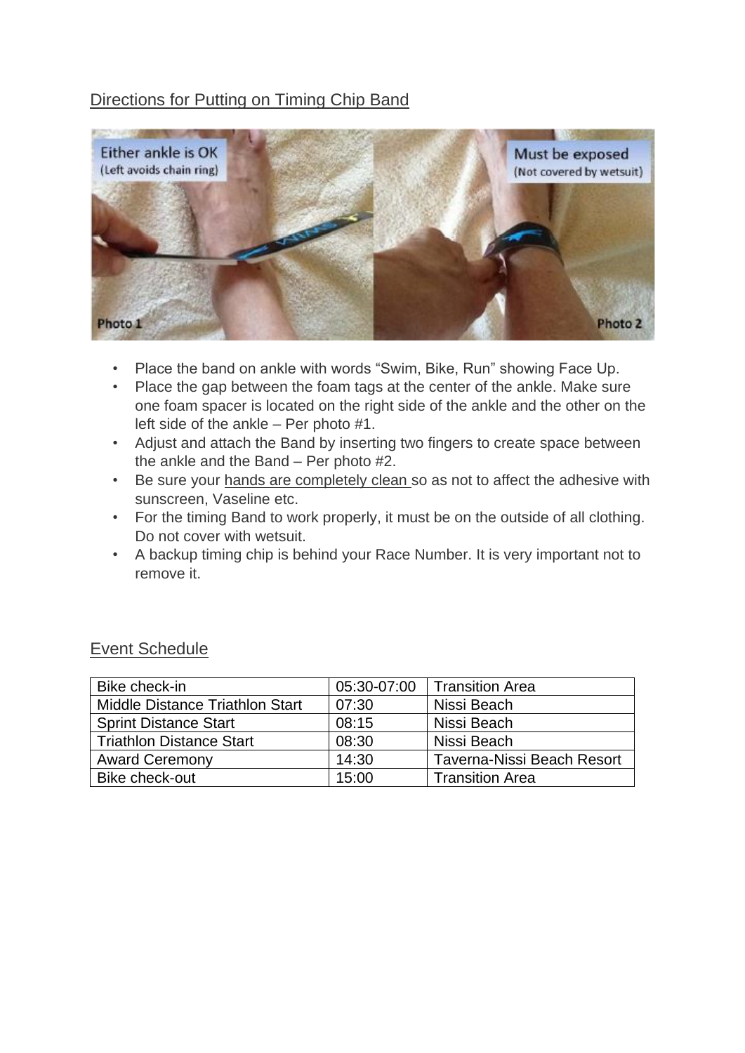# Directions for Putting on Timing Chip Band



- Place the band on ankle with words "Swim, Bike, Run" showing Face Up.
- Place the gap between the foam tags at the center of the ankle. Make sure one foam spacer is located on the right side of the ankle and the other on the left side of the ankle – Per photo #1.
- Adjust and attach the Band by inserting two fingers to create space between the ankle and the Band – Per photo #2.
- Be sure your hands are completely clean so as not to affect the adhesive with sunscreen, Vaseline etc.
- For the timing Band to work properly, it must be on the outside of all clothing. Do not cover with wetsuit.
- A backup timing chip is behind your Race Number. It is very important not to remove it.

| Bike check-in                   | 05:30-07:00 | <b>Transition Area</b>     |
|---------------------------------|-------------|----------------------------|
| Middle Distance Triathlon Start | 07:30       | Nissi Beach                |
| <b>Sprint Distance Start</b>    | 08:15       | Nissi Beach                |
| <b>Triathlon Distance Start</b> | 08:30       | Nissi Beach                |
| <b>Award Ceremony</b>           | 14:30       | Taverna-Nissi Beach Resort |
| Bike check-out                  | 15:00       | <b>Transition Area</b>     |

## Event Schedule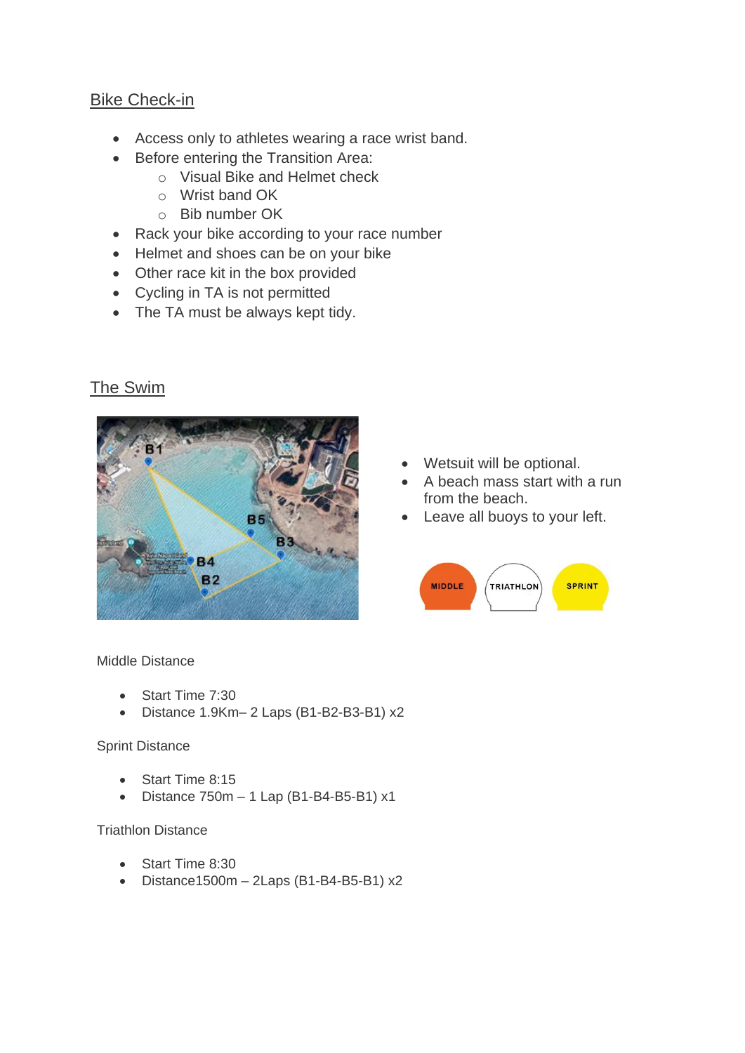## Bike Check-in

- Access only to athletes wearing a race wrist band.
- Before entering the Transition Area:
	- o Visual Bike and Helmet check
	- o Wrist band OK
	- o Bib number OK
- Rack your bike according to your race number
- Helmet and shoes can be on your bike
- Other race kit in the box provided
- Cycling in TA is not permitted
- The TA must be always kept tidy.

# The Swim



- Wetsuit will be optional.
- A beach mass start with a run from the beach.
- Leave all buoys to your left.



Middle Distance

- Start Time 7:30
- Distance 1.9Km– 2 Laps (B1-B2-B3-B1) x2

#### Sprint Distance

- Start Time 8:15
- Distance 750m 1 Lap (B1-B4-B5-B1) x1

#### Triathlon Distance

- Start Time 8:30
- Distance1500m 2Laps (B1-B4-B5-B1) x2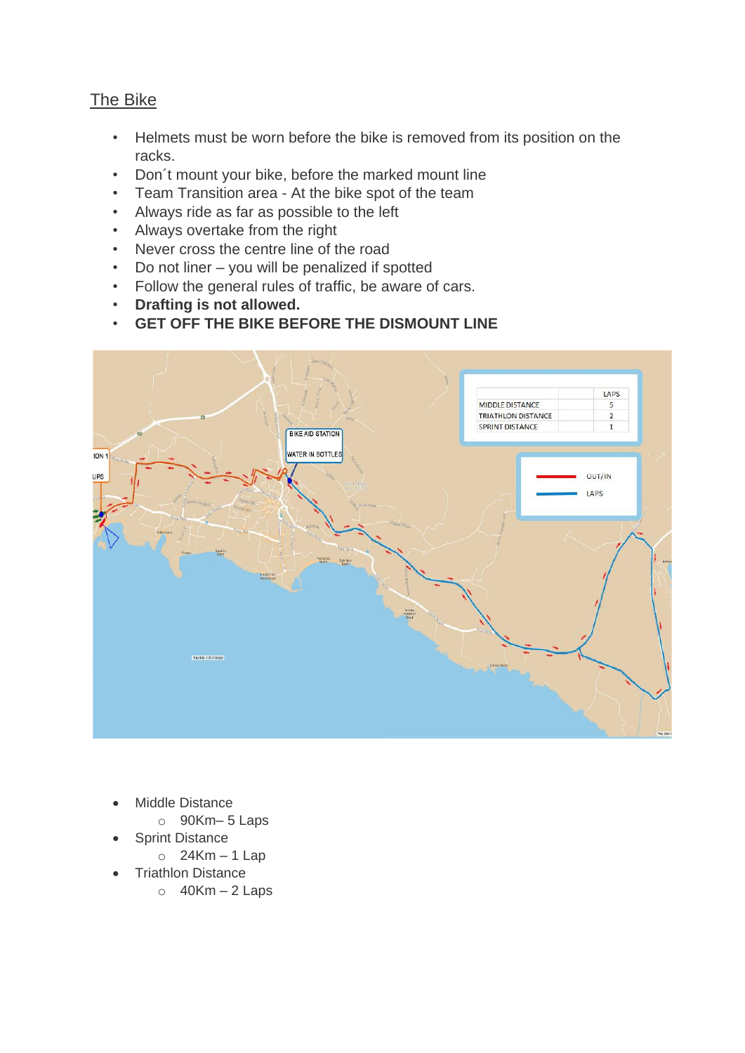# The Bike

- Helmets must be worn before the bike is removed from its position on the racks.
- Don´t mount your bike, before the marked mount line
- Team Transition area At the bike spot of the team
- Always ride as far as possible to the left
- Always overtake from the right
- Never cross the centre line of the road
- Do not liner you will be penalized if spotted
- Follow the general rules of traffic, be aware of cars.
- **Drafting is not allowed.**
- **GET OFF THE BIKE BEFORE THE DISMOUNT LINE**



- Middle Distance
	- o 90Km– 5 Laps
- **Sprint Distance** 
	- $\circ$  24Km 1 Lap
- Triathlon Distance
	- $\circ$  40Km 2 Laps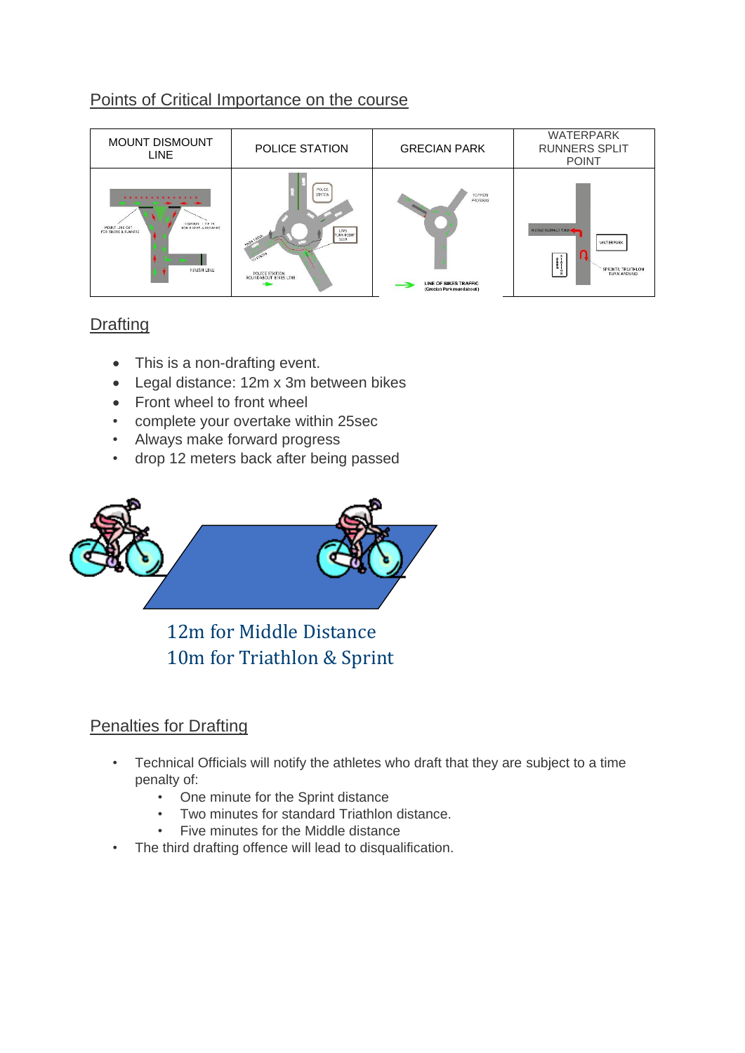## Points of Critical Importance on the course



# **Drafting**

- This is a non-drafting event.
- Legal distance: 12m x 3m between bikes
- Front wheel to front wheel
- complete your overtake within 25sec
- Always make forward progress
- drop 12 meters back after being passed



12m for Middle Distance 10m for Triathlon & Sprint

# Penalties for Drafting

- Technical Officials will notify the athletes who draft that they are subject to a time penalty of:
	- One minute for the Sprint distance
	- Two minutes for standard Triathlon distance.
	- Five minutes for the Middle distance
- The third drafting offence will lead to disqualification.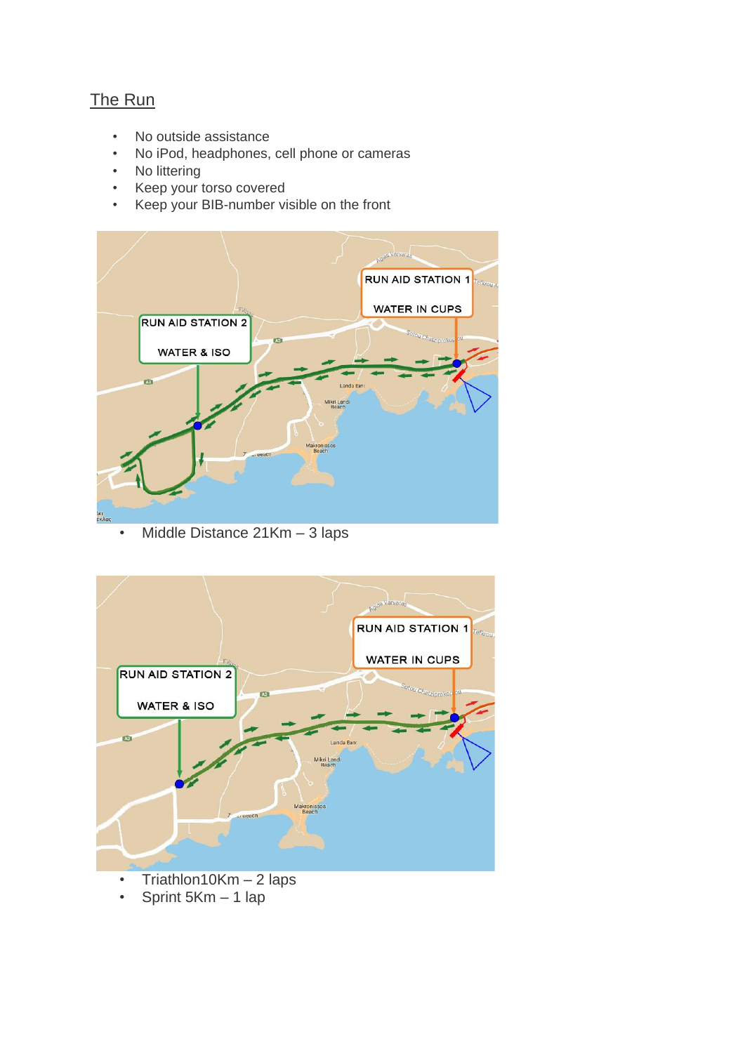# The Run

- No outside assistance
- No iPod, headphones, cell phone or cameras
- No littering
- Keep your torso covered
- Keep your BIB-number visible on the front



• Middle Distance 21Km - 3 laps



- Triathlon10Km 2 laps
- Sprint 5Km 1 lap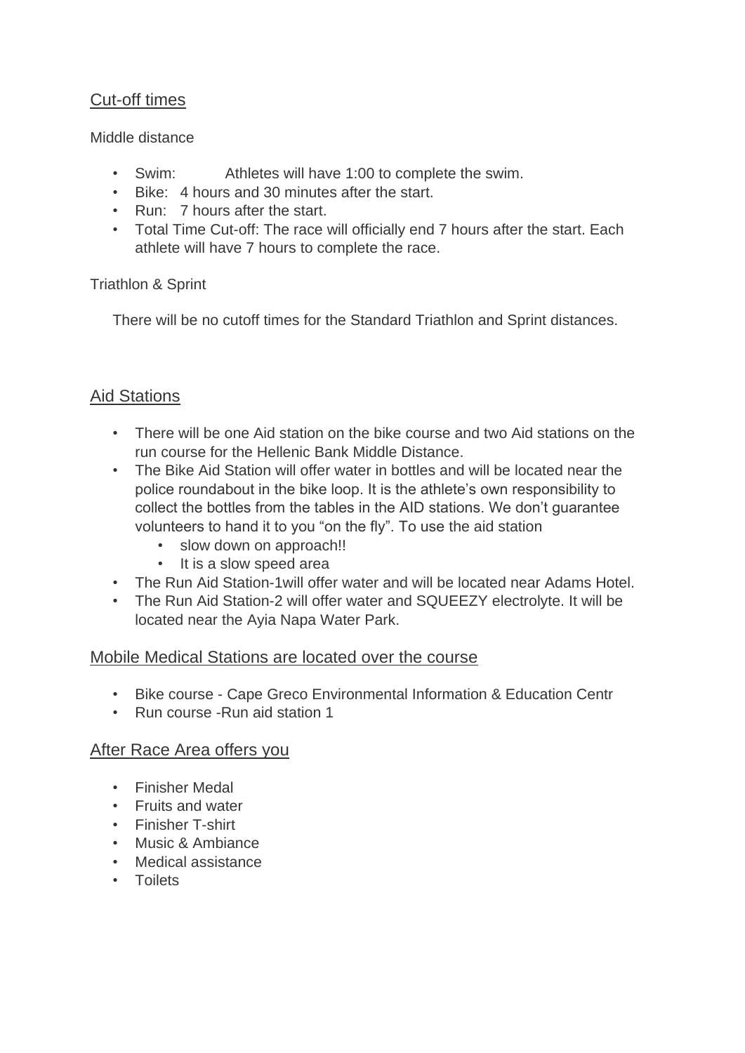# Cut-off times

#### Middle distance

- Swim: Athletes will have 1:00 to complete the swim.
- Bike: 4 hours and 30 minutes after the start.
- Run: 7 hours after the start.
- Total Time Cut-off: The race will officially end 7 hours after the start. Each athlete will have 7 hours to complete the race.

## Triathlon & Sprint

There will be no cutoff times for the Standard Triathlon and Sprint distances.

# Aid Stations

- There will be one Aid station on the bike course and two Aid stations on the run course for the Hellenic Bank Middle Distance.
- The Bike Aid Station will offer water in bottles and will be located near the police roundabout in the bike loop. It is the athlete's own responsibility to collect the bottles from the tables in the AID stations. We don't guarantee volunteers to hand it to you "on the fly". To use the aid station
	- slow down on approach!!
	- It is a slow speed area
- The Run Aid Station-1will offer water and will be located near Adams Hotel.
- The Run Aid Station-2 will offer water and SQUEEZY electrolyte. It will be located near the Ayia Napa Water Park.

# Mobile Medical Stations are located over the course

- Bike course Cape Greco Environmental Information & Education Centr
- Run course -Run aid station 1

# After Race Area offers you

- Finisher Medal
- Fruits and water
- Finisher T-shirt
- Music & Ambiance
- Medical assistance
- Toilets